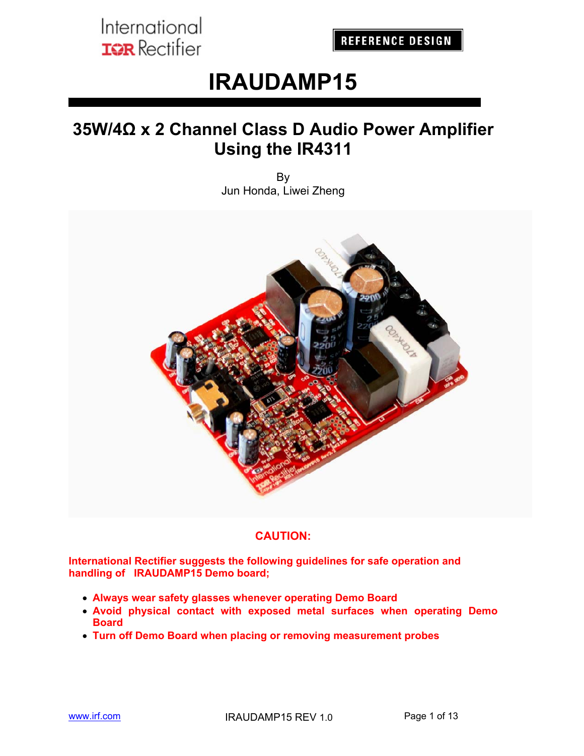**REFERENCE DESIGN** 

# **IRAUDAMP15**

## **35W/4Ω x 2 Channel Class D Audio Power Amplifier Using the IR4311**

By Jun Honda, Liwei Zheng



#### **CAUTION:**

**International Rectifier suggests the following guidelines for safe operation and handling of IRAUDAMP15 Demo board;** 

- **Always wear safety glasses whenever operating Demo Board**
- **Avoid physical contact with exposed metal surfaces when operating Demo Board**
- **Turn off Demo Board when placing or removing measurement probes**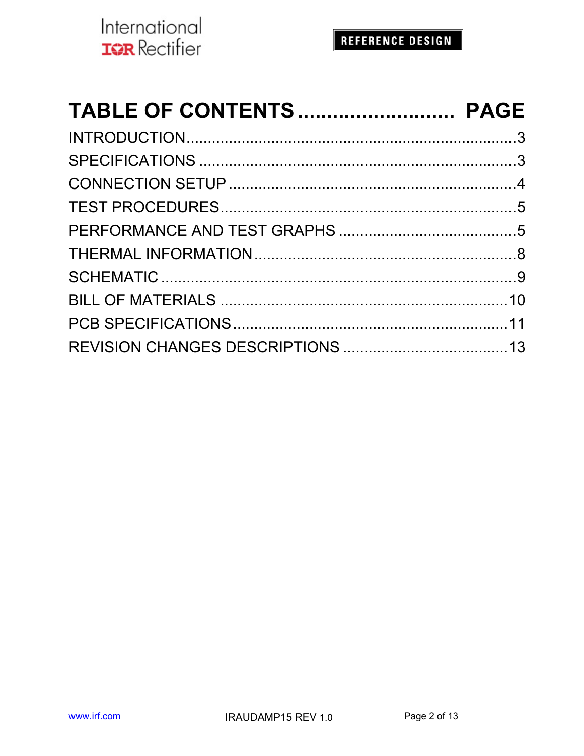| TABLE OF CONTENTS  PAGE |  |
|-------------------------|--|
|                         |  |
|                         |  |
|                         |  |
|                         |  |
|                         |  |
|                         |  |
|                         |  |
|                         |  |
|                         |  |
|                         |  |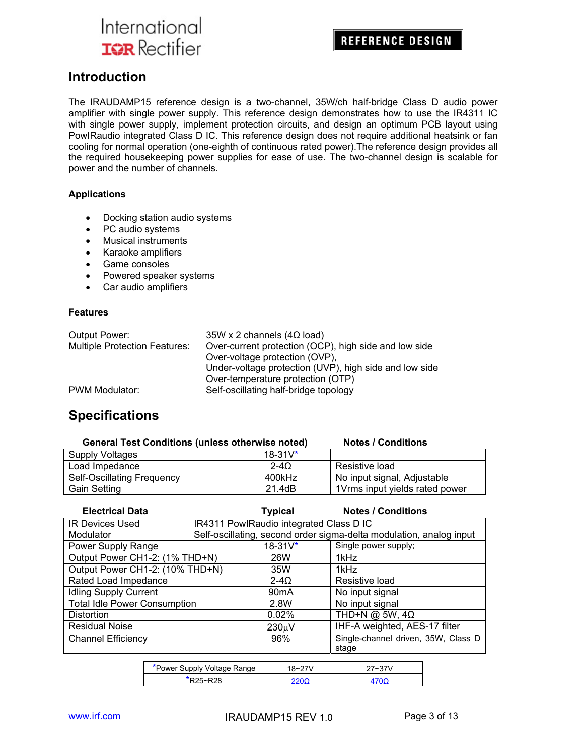**REFERENCE DESIGN** 

### **Introduction**

The IRAUDAMP15 reference design is a two-channel, 35W/ch half-bridge Class D audio power amplifier with single power supply. This reference design demonstrates how to use the IR4311 IC with single power supply, implement protection circuits, and design an optimum PCB layout using PowIRaudio integrated Class D IC. This reference design does not require additional heatsink or fan cooling for normal operation (one-eighth of continuous rated power).The reference design provides all the required housekeeping power supplies for ease of use. The two-channel design is scalable for power and the number of channels.

#### **Applications**

- Docking station audio systems
- PC audio systems
- Musical instruments
- Karaoke amplifiers
- Game consoles
- Powered speaker systems
- Car audio amplifiers

#### **Features**

| Output Power:                        | $35W \times 2$ channels (4 $\Omega$ load)              |
|--------------------------------------|--------------------------------------------------------|
| <b>Multiple Protection Features:</b> | Over-current protection (OCP), high side and low side  |
|                                      | Over-voltage protection (OVP),                         |
|                                      | Under-voltage protection (UVP), high side and low side |
|                                      | Over-temperature protection (OTP)                      |
| PWM Modulator:                       | Self-oscillating half-bridge topology                  |

### **Specifications**

| <b>General Test Conditions (unless otherwise noted)</b> |              | <b>Notes / Conditions</b>      |
|---------------------------------------------------------|--------------|--------------------------------|
| Supply Voltages                                         | $18 - 31V^*$ |                                |
| Load Impedance                                          | $2-4\Omega$  | Resistive load                 |
| <b>Self-Oscillating Frequency</b>                       | 400kHz       | No input signal, Adjustable    |
| <b>Gain Setting</b>                                     | 21.4dB       | 1Vrms input yields rated power |

| <b>Electrical Data</b>              |  | <b>Typical</b>                          | <b>Notes / Conditions</b>                                           |
|-------------------------------------|--|-----------------------------------------|---------------------------------------------------------------------|
| <b>IR Devices Used</b>              |  | IR4311 PowlRaudio integrated Class D IC |                                                                     |
| Modulator                           |  |                                         | Self-oscillating, second order sigma-delta modulation, analog input |
| Power Supply Range                  |  | $18 - 31V^*$                            | Single power supply;                                                |
| Output Power CH1-2: (1% THD+N)      |  | 26W                                     | 1kHz                                                                |
| Output Power CH1-2: (10% THD+N)     |  | 35W                                     | 1kHz                                                                |
| Rated Load Impedance                |  | $2 - 4Q$                                | Resistive load                                                      |
| <b>Idling Supply Current</b>        |  | 90 <sub>m</sub> A                       | No input signal                                                     |
| <b>Total Idle Power Consumption</b> |  | 2.8W                                    | No input signal                                                     |
| <b>Distortion</b>                   |  | 0.02%                                   | THD+N @ 5W, $4\Omega$                                               |
| <b>Residual Noise</b>               |  | $230 \mu V$                             | IHF-A weighted, AES-17 filter                                       |
| <b>Channel Efficiency</b>           |  | 96%                                     | Single-channel driven, 35W, Class D                                 |
|                                     |  |                                         | stage                                                               |

| *Power Supply Voltage Range | $18 - 27V$ | 27~37V |
|-----------------------------|------------|--------|
| $R25 - R28$                 | חמי        |        |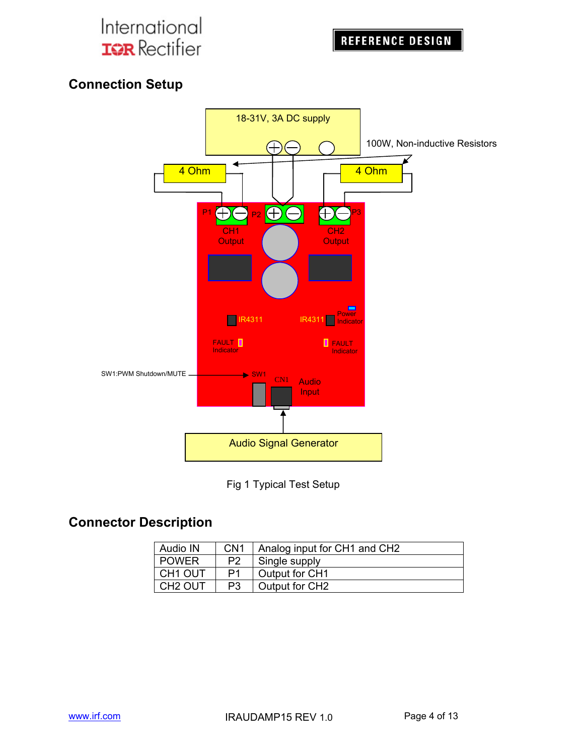

### **Connection Setup**





## **Connector Description**

| Audio IN            | CN <sub>1</sub> | Analog input for CH1 and CH2 |
|---------------------|-----------------|------------------------------|
| <b>POWER</b>        | P <sub>2</sub>  | Single supply                |
| CH1 OUT             | P1              | Output for CH1               |
| CH <sub>2</sub> OUT | P3              | Output for CH2               |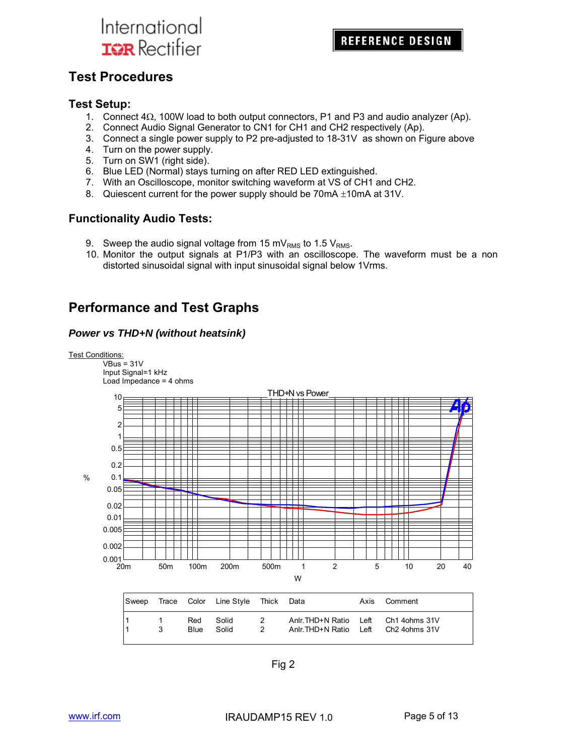### **Test Procedures**

#### **Test Setup:**

- 1. Connect  $4\Omega$ , 100W load to both output connectors, P1 and P3 and audio analyzer (Ap).
- 2. Connect Audio Signal Generator to CN1 for CH1 and CH2 respectively (Ap).
- 3. Connect a single power supply to P2 pre-adjusted to 18-31V as shown on Figure above
- 4. Turn on the power supply.
- 5. Turn on SW1 (right side).
- 6. Blue LED (Normal) stays turning on after RED LED extinguished.
- 7. With an Oscilloscope, monitor switching waveform at VS of CH1 and CH2.
- 8. Quiescent current for the power supply should be  $70mA \pm 10mA$  at 31V.

#### **Functionality Audio Tests:**

- 9. Sweep the audio signal voltage from 15 mV<sub>RMS</sub> to 1.5 V<sub>RMS</sub>.
- 10. Monitor the output signals at P1/P3 with an oscilloscope. The waveform must be a non distorted sinusoidal signal with input sinusoidal signal below 1Vrms.

### **Performance and Test Graphs**

#### *Power vs THD+N (without heatsink)*



Fig 2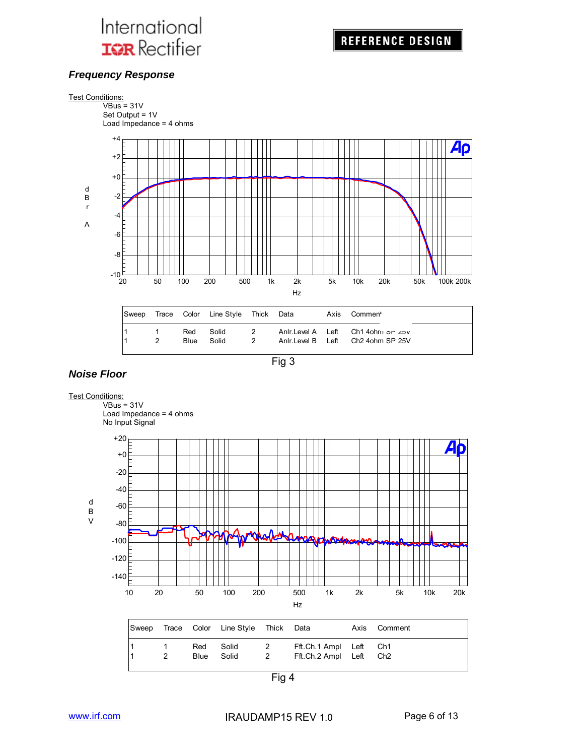#### *Frequency Response*



Fig 3

#### *Noise Floor*

#### Test Conditions:

 $VBus = 31V$ Load Impedance = 4 ohms



Fig 4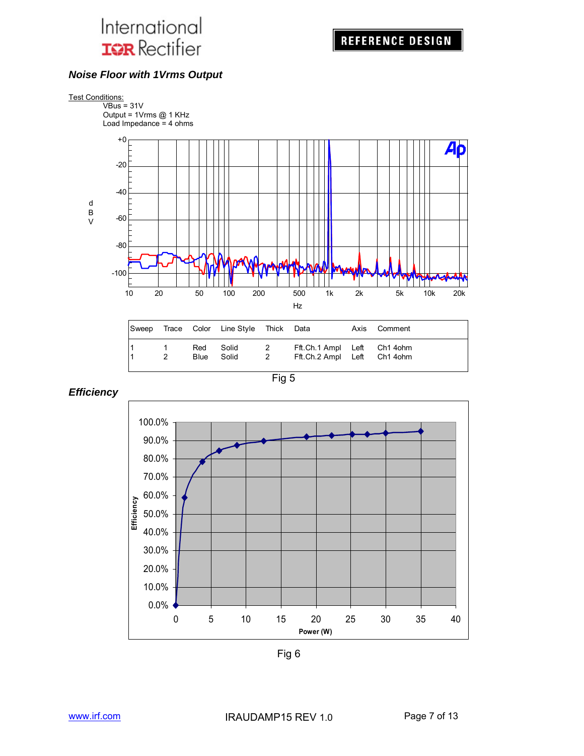#### *Noise Floor with 1Vrms Output*



|                     |                    | Sweep Trace Color Line Style Thick Data |                            |                                                            | Axis Comment |
|---------------------|--------------------|-----------------------------------------|----------------------------|------------------------------------------------------------|--------------|
| $\overline{1}$<br>2 | Red<br><b>Blue</b> | Solid<br>Solid                          | $\overline{2}$<br>$\sim$ 2 | Fft.Ch.1 Ampl Left Ch1 4ohm<br>Fft.Ch.2 Ampl Left Ch1 4ohm |              |



*Efficiency* 



Fig 6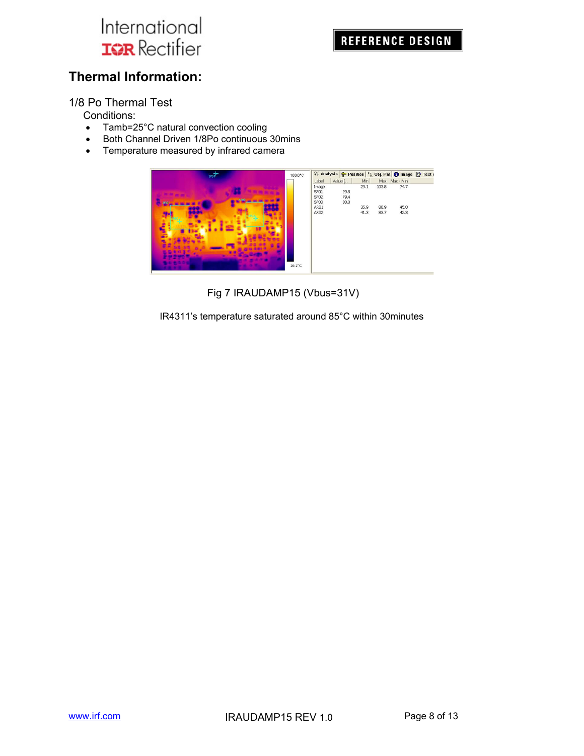### **Thermal Information:**

1/8 Po Thermal Test

Conditions:

- Tamb=25°C natural convection cooling
- Both Channel Driven 1/8Po continuous 30mins
- Temperature measured by infrared camera



Fig 7 IRAUDAMP15 (Vbus=31V)

IR4311's temperature saturated around 85°C within 30minutes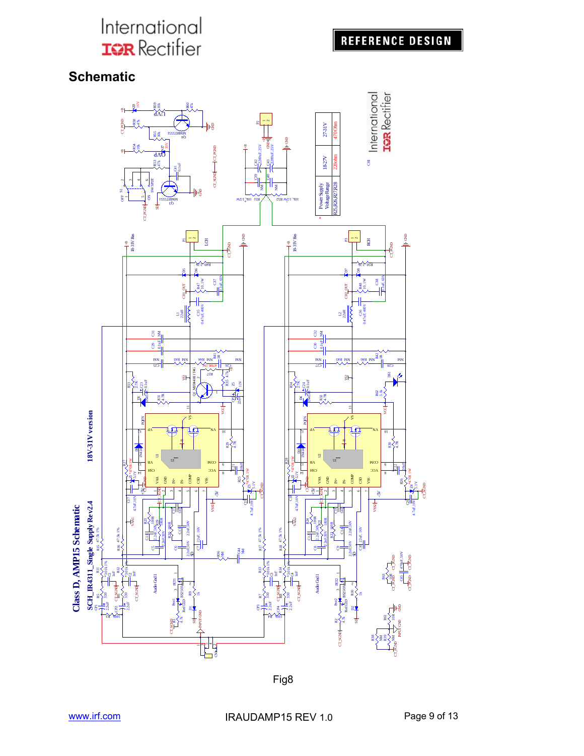## **REFERENCE DESIGN**

### **Schematic**



Fig8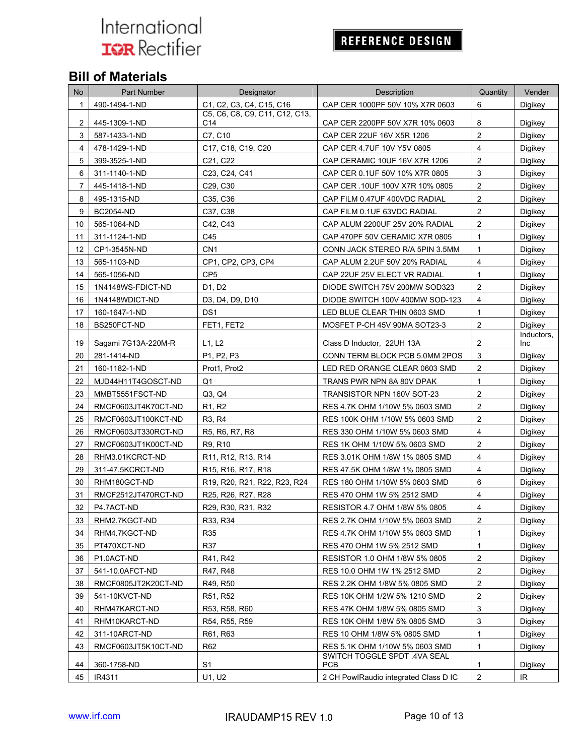## **REFERENCE DESIGN**

## **Bill of Materials**

| No             | Part Number         | Designator                                                                                                | Description                                | Quantity                | Vender            |
|----------------|---------------------|-----------------------------------------------------------------------------------------------------------|--------------------------------------------|-------------------------|-------------------|
| 1              | 490-1494-1-ND       | C1, C2, C3, C4, C15, C16                                                                                  | CAP CER 1000PF 50V 10% X7R 0603            | 6                       | Digikey           |
| $\overline{c}$ | 445-1309-1-ND       | C5. C6. C8. C9. C11. C12. C13.<br>C14                                                                     | CAP CER 2200PF 50V X7R 10% 0603            | 8                       | Digikey           |
| 3              | 587-1433-1-ND       | C7, C10                                                                                                   | CAP CER 22UF 16V X5R 1206                  | $\overline{2}$          | Digikey           |
| 4              | 478-1429-1-ND       | C <sub>17</sub> , C <sub>18</sub> , C <sub>19</sub> , C <sub>20</sub>                                     | CAP CER 4.7UF 10V Y5V 0805                 | $\overline{4}$          | Digikey           |
| 5              | 399-3525-1-ND       | C21, C22                                                                                                  | CAP CERAMIC 10UF 16V X7R 1206              | $\overline{2}$          | Digikey           |
| 6              | 311-1140-1-ND       | C23, C24, C41                                                                                             | CAP CER 0.1UF 50V 10% X7R 0805             | 3                       | Digikey           |
| $\overline{7}$ | 445-1418-1-ND       | C29, C30                                                                                                  | CAP CER .10UF 100V X7R 10% 0805            | $\overline{2}$          | Digikey           |
| 8              | 495-1315-ND         | C35, C36                                                                                                  | CAP FILM 0.47UF 400VDC RADIAL              | $\overline{2}$          | Digikey           |
| 9              | <b>BC2054-ND</b>    | C37, C38                                                                                                  | CAP FILM 0.1UF 63VDC RADIAL                | $\overline{2}$          | Digikey           |
| 10             | 565-1064-ND         | C42, C43                                                                                                  | CAP ALUM 2200UF 25V 20% RADIAL             | $\overline{c}$          | Digikey           |
| 11             | 311-1124-1-ND       | C45                                                                                                       | CAP 470PF 50V CERAMIC X7R 0805             | 1                       | Digikey           |
| 12             | CP1-3545N-ND        | CN <sub>1</sub>                                                                                           | CONN JACK STEREO R/A 5PIN 3.5MM            | $\mathbf{1}$            | Digikey           |
| 13             | 565-1103-ND         | CP1, CP2, CP3, CP4                                                                                        | CAP ALUM 2.2UF 50V 20% RADIAL              | 4                       | <b>Digikey</b>    |
| 14             | 565-1056-ND         | CP <sub>5</sub>                                                                                           | CAP 22UF 25V ELECT VR RADIAL               | $\mathbf{1}$            | Digikey           |
| 15             | 1N4148WS-FDICT-ND   | D1, D2                                                                                                    | DIODE SWITCH 75V 200MW SOD323              | $\overline{c}$          | Digikey           |
| 16             | 1N4148WDICT-ND      | D3, D4, D9, D10                                                                                           | DIODE SWITCH 100V 400MW SOD-123            | $\overline{4}$          | <b>Digikey</b>    |
| 17             | 160-1647-1-ND       | DS <sub>1</sub>                                                                                           | LED BLUE CLEAR THIN 0603 SMD               | $\mathbf{1}$            | Digikey           |
| 18             | BS250FCT-ND         | FET1, FET2                                                                                                | MOSFET P-CH 45V 90MA SOT23-3               | $\overline{c}$          | Digikey           |
| 19             | Sagami 7G13A-220M-R | L1, L2                                                                                                    | Class D Inductor, 22UH 13A                 | $\overline{2}$          | Inductors,<br>Inc |
| 20             | 281-1414-ND         | P1, P2, P3                                                                                                | CONN TERM BLOCK PCB 5.0MM 2POS             | 3                       | Digikey           |
| 21             | 160-1182-1-ND       | Prot1, Prot2                                                                                              | LED RED ORANGE CLEAR 0603 SMD              | $\overline{c}$          | Digikey           |
| 22             | MJD44H11T4GOSCT-ND  | Q1                                                                                                        | TRANS PWR NPN 8A 80V DPAK                  | $\mathbf{1}$            | Digikey           |
| 23             | MMBT5551FSCT-ND     | Q3, Q4                                                                                                    | TRANSISTOR NPN 160V SOT-23                 | $\mathbf{2}$            | Digikey           |
| 24             | RMCF0603JT4K70CT-ND | R <sub>1</sub> , R <sub>2</sub>                                                                           | RES 4.7K OHM 1/10W 5% 0603 SMD             | $\overline{2}$          | Digikey           |
| 25             | RMCF0603JT100KCT-ND | R3, R4                                                                                                    | RES 100K OHM 1/10W 5% 0603 SMD             | $\overline{2}$          | Digikey           |
| 26             | RMCF0603JT330RCT-ND | R <sub>5</sub> , R <sub>6</sub> , R <sub>7</sub> , R <sub>8</sub>                                         | RES 330 OHM 1/10W 5% 0603 SMD              | $\overline{4}$          | Digikey           |
| 27             | RMCF0603JT1K00CT-ND | R9, R10                                                                                                   | RES 1K OHM 1/10W 5% 0603 SMD               | $\mathbf{2}$            | Digikey           |
| 28             | RHM3.01KCRCT-ND     | R11, R12, R13, R14                                                                                        | RES 3.01K OHM 1/8W 1% 0805 SMD             | $\overline{4}$          | Digikey           |
| 29             | 311-47.5KCRCT-ND    | R <sub>15</sub> , R <sub>16</sub> , R <sub>17</sub> , R <sub>18</sub>                                     | RES 47.5K OHM 1/8W 1% 0805 SMD             | $\overline{4}$          | Digikey           |
| 30             | RHM180GCT-ND        | R <sub>19</sub> , R <sub>20</sub> , R <sub>21</sub> , R <sub>22</sub> , R <sub>23</sub> , R <sub>24</sub> | RES 180 OHM 1/10W 5% 0603 SMD              | 6                       | Digikey           |
| 31             | RMCF2512JT470RCT-ND | R25, R26, R27, R28                                                                                        | RES 470 OHM 1W 5% 2512 SMD                 | $\overline{4}$          | Digikey           |
| 32             | P4.7ACT-ND          | R29, R30, R31, R32                                                                                        | RESISTOR 4.7 OHM 1/8W 5% 0805              | $\overline{4}$          | Digikey           |
| 33             | RHM2.7KGCT-ND       | R33, R34                                                                                                  | RES 2.7K OHM 1/10W 5% 0603 SMD             | $\overline{\mathbf{c}}$ | Digikey           |
| 34             | RHM4.7KGCT-ND       | R35                                                                                                       | RES 4.7K OHM 1/10W 5% 0603 SMD             | $\mathbf{1}$            | Digikey           |
| 35             | PT470XCT-ND         | R37                                                                                                       | RES 470 OHM 1W 5% 2512 SMD                 | 1                       | Digikey           |
| 36             | P1.0ACT-ND          | R41, R42                                                                                                  | RESISTOR 1.0 OHM 1/8W 5% 0805              | $\overline{\mathbf{c}}$ | Digikey           |
| 37             | 541-10.0AFCT-ND     | R47, R48                                                                                                  | RES 10.0 OHM 1W 1% 2512 SMD                | $\overline{\mathbf{c}}$ | Digikey           |
| 38             | RMCF0805JT2K20CT-ND | R49, R50                                                                                                  | RES 2.2K OHM 1/8W 5% 0805 SMD              | $\overline{\mathbf{c}}$ | Digikey           |
| 39             | 541-10KVCT-ND       | R51, R52                                                                                                  | RES 10K OHM 1/2W 5% 1210 SMD               | $\overline{c}$          | Digikey           |
| 40             | RHM47KARCT-ND       | R53, R58, R60                                                                                             | RES 47K OHM 1/8W 5% 0805 SMD               | 3                       | Digikey           |
| 41             | RHM10KARCT-ND       | R54, R55, R59                                                                                             | RES 10K OHM 1/8W 5% 0805 SMD               | 3                       | Digikey           |
| 42             | 311-10ARCT-ND       | R61, R63                                                                                                  | RES 10 OHM 1/8W 5% 0805 SMD                | 1                       | Digikey           |
| 43             | RMCF0603JT5K10CT-ND | R62                                                                                                       | RES 5.1K OHM 1/10W 5% 0603 SMD             | 1                       | Digikey           |
| 44             | 360-1758-ND         | S <sub>1</sub>                                                                                            | SWITCH TOGGLE SPDT .4VA SEAL<br><b>PCB</b> | 1                       | Digikey           |
| 45             | IR4311              | U1, U2                                                                                                    | 2 CH PowlRaudio integrated Class D IC      | $\overline{2}$          | IR                |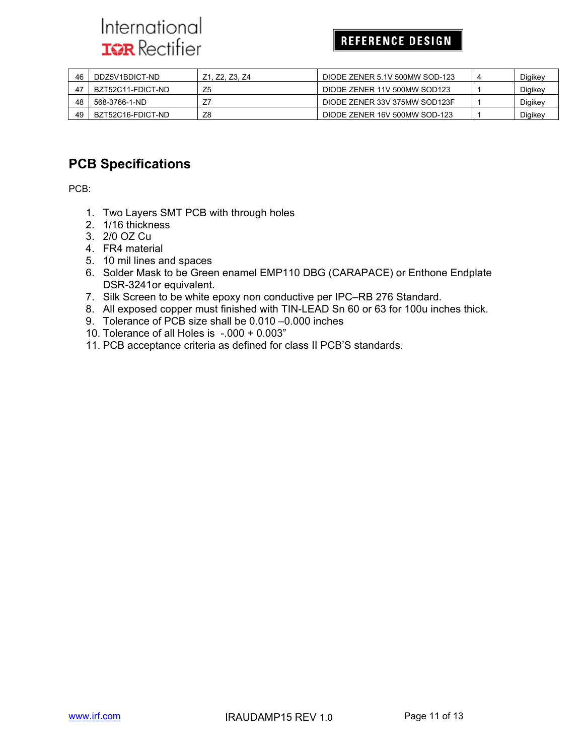### **REFERENCE DESIGN**

| 46 | DDZ5V1BDICT-ND    | Z1, Z2, Z3, Z4 | DIODE ZENER 5.1V 500MW SOD-123 | 4 | Digikey |
|----|-------------------|----------------|--------------------------------|---|---------|
| 47 | BZT52C11-FDICT-ND |                | DIODE ZENER 11V 500MW SOD123   |   | Digikey |
| 48 | 568-3766-1-ND     |                | DIODE ZENER 33V 375MW SOD123F  |   | Digikey |
| 49 | BZT52C16-FDICT-ND | Z8             | DIODE ZENER 16V 500MW SOD-123  |   | Digikey |

### **PCB Specifications**

PCB:

- 1. Two Layers SMT PCB with through holes
- 2. 1/16 thickness
- 3. 2/0 OZ Cu
- 4. FR4 material
- 5. 10 mil lines and spaces
- 6. Solder Mask to be Green enamel EMP110 DBG (CARAPACE) or Enthone Endplate DSR-3241or equivalent.
- 7. Silk Screen to be white epoxy non conductive per IPC–RB 276 Standard.
- 8. All exposed copper must finished with TIN-LEAD Sn 60 or 63 for 100u inches thick.
- 9. Tolerance of PCB size shall be 0.010 –0.000 inches
- 10. Tolerance of all Holes is -.000 + 0.003"
- 11. PCB acceptance criteria as defined for class II PCB'S standards.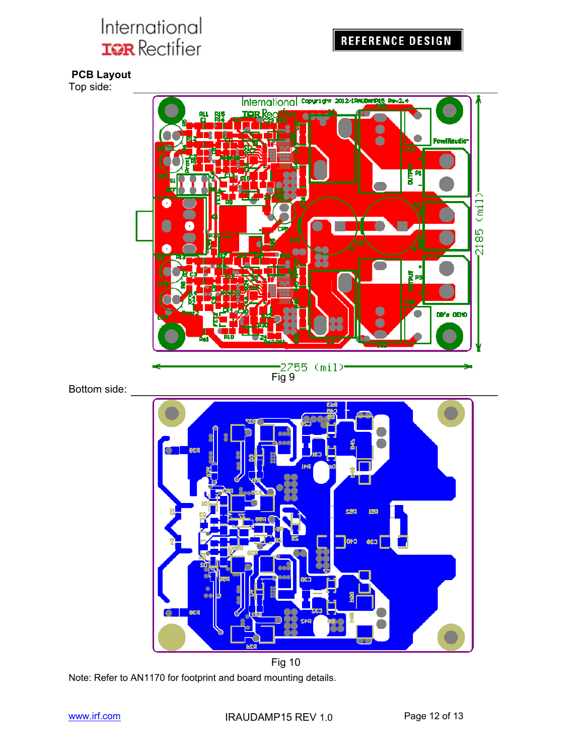**PCB Layout** 

Top side:



Bottom side:



Note: Refer to AN1170 for footprint and board mounting details.